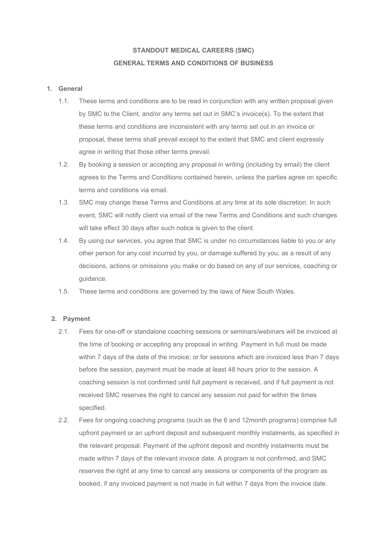# **STANDOUT MEDICAL CAREERS (SMC) GENERAL TERMS AND CONDITIONS OF BUSINESS**

### **1. General**

- 1.1. These terms and conditions are to be read in conjunction with any written proposal given by SMC to the Client, and/or any terms set out in SMC's invoice(s). To the extent that these terms and conditions are inconsistent with any terms set out in an invoice or proposal, these terms shall prevail except to the extent that SMC and client expressly agree in writing that those other terms prevail.
- 1.2. By booking a session or accepting any proposal in writing (including by email) the client agrees to the Terms and Conditions contained herein, unless the parties agree on specific terms and conditions via email.
- 1.3. SMC may change these Terms and Conditions at any time at its sole discretion. In such event, SMC will notify client via email of the new Terms and Conditions and such changes will take effect 30 days after such notice is given to the client.
- 1.4. By using our services, you agree that SMC is under no circumstances liable to you or any other person for any cost incurred by you, or damage suffered by you, as a result of any decisions, actions or omissions you make or do based on any of our services, coaching or guidance.
- 1.5. These terms and conditions are governed by the laws of New South Wales.

## **2. Payment**

- 2.1. Fees for one-off or standalone coaching sessions or seminars/webinars will be invoiced at the time of booking or accepting any proposal in writing. Payment in full must be made within 7 days of the date of the invoice; or for sessions which are invoiced less than 7 days before the session, payment must be made at least 48 hours prior to the session. A coaching session is not confirmed until full payment is received, and if full payment is not received SMC reserves the right to cancel any session not paid for within the times specified.
- 2.2. Fees for ongoing coaching programs (such as the 6 and 12month programs) comprise full upfront payment or an upfront deposit and subsequent monthly instalments, as specified in the relevant proposal. Payment of the upfront deposit and monthly instalments must be made within 7 days of the relevant invoice date. A program is not confirmed, and SMC reserves the right at any time to cancel any sessions or components of the program as booked, if any invoiced payment is not made in full within 7 days from the invoice date.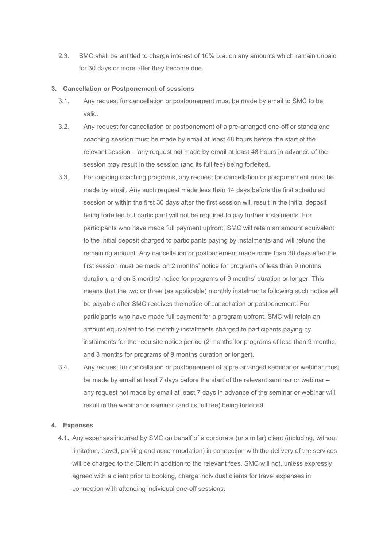2.3. SMC shall be entitled to charge interest of 10% p.a. on any amounts which remain unpaid for 30 days or more after they become due.

#### **3. Cancellation or Postponement of sessions**

- 3.1. Any request for cancellation or postponement must be made by email to SMC to be valid.
- 3.2. Any request for cancellation or postponement of a pre-arranged one-off or standalone coaching session must be made by email at least 48 hours before the start of the relevant session – any request not made by email at least 48 hours in advance of the session may result in the session (and its full fee) being forfeited.
- 3.3. For ongoing coaching programs, any request for cancellation or postponement must be made by email. Any such request made less than 14 days before the first scheduled session or within the first 30 days after the first session will result in the initial deposit being forfeited but participant will not be required to pay further instalments. For participants who have made full payment upfront, SMC will retain an amount equivalent to the initial deposit charged to participants paying by instalments and will refund the remaining amount. Any cancellation or postponement made more than 30 days after the first session must be made on 2 months' notice for programs of less than 9 months duration, and on 3 months' notice for programs of 9 months' duration or longer. This means that the two or three (as applicable) monthly instalments following such notice will be payable after SMC receives the notice of cancellation or postponement. For participants who have made full payment for a program upfront, SMC will retain an amount equivalent to the monthly instalments charged to participants paying by instalments for the requisite notice period (2 months for programs of less than 9 months, and 3 months for programs of 9 months duration or longer).
- 3.4. Any request for cancellation or postponement of a pre-arranged seminar or webinar must be made by email at least 7 days before the start of the relevant seminar or webinar any request not made by email at least 7 days in advance of the seminar or webinar will result in the webinar or seminar (and its full fee) being forfeited.

#### **4. Expenses**

**4.1.** Any expenses incurred by SMC on behalf of a corporate (or similar) client (including, without limitation, travel, parking and accommodation) in connection with the delivery of the services will be charged to the Client in addition to the relevant fees. SMC will not, unless expressly agreed with a client prior to booking, charge individual clients for travel expenses in connection with attending individual one-off sessions.